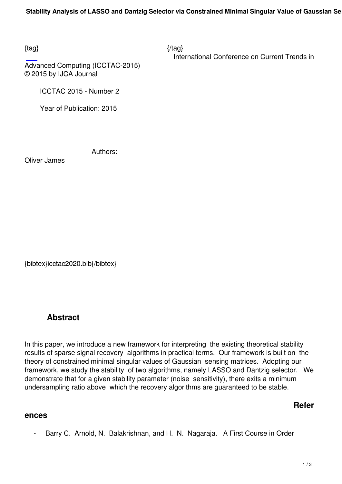$\{tag\}$ 

International Conference on Current Trends in

Advanced Computing (ICCTAC-2015) © 2015 by IJCA Journal

ICCTAC 2015 - Number 2

Year of Publication: 2015

Authors:

Oliver James

{bibtex}icctac2020.bib{/bibtex}

## **Abstract**

In this paper, we introduce a new framework for interpreting the existing theoretical stability results of sparse signal recovery algorithms in practical terms. Our framework is built on the theory of constrained minimal singular values of Gaussian sensing matrices. Adopting our framework, we study the stability of two algorithms, namely LASSO and Dantzig selector. We demonstrate that for a given stability parameter (noise sensitivity), there exits a minimum undersampling ratio above which the recovery algorithms are guaranteed to be stable.

**Refer**

## **ences**

- Barry C. Arnold, N. Balakrishnan, and H. N. Nagaraja. A First Course in Order